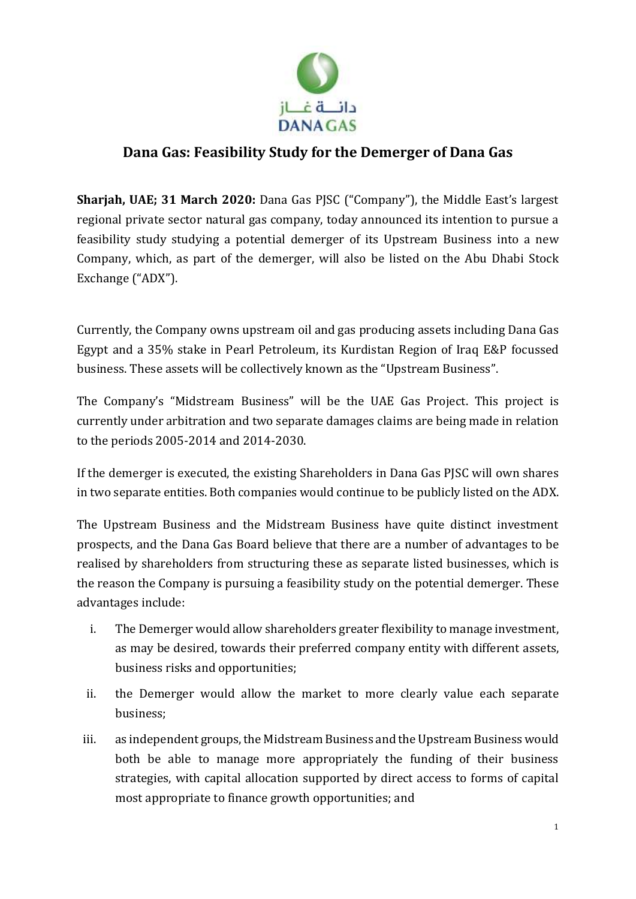

## **Dana Gas: Feasibility Study for the Demerger of Dana Gas**

**Sharjah, UAE; 31 March 2020:** Dana Gas PJSC ("Company"), the Middle East's largest regional private sector natural gas company, today announced its intention to pursue a feasibility study studying a potential demerger of its Upstream Business into a new Company, which, as part of the demerger, will also be listed on the Abu Dhabi Stock Exchange ("ADX").

Currently, the Company owns upstream oil and gas producing assets including Dana Gas Egypt and a 35% stake in Pearl Petroleum, its Kurdistan Region of Iraq E&P focussed business. These assets will be collectively known as the "Upstream Business".

The Company's "Midstream Business" will be the UAE Gas Project. This project is currently under arbitration and two separate damages claims are being made in relation to the periods 2005-2014 and 2014-2030.

If the demerger is executed, the existing Shareholders in Dana Gas PJSC will own shares in two separate entities. Both companies would continue to be publicly listed on the ADX.

The Upstream Business and the Midstream Business have quite distinct investment prospects, and the Dana Gas Board believe that there are a number of advantages to be realised by shareholders from structuring these as separate listed businesses, which is the reason the Company is pursuing a feasibility study on the potential demerger. These advantages include:

- i. The Demerger would allow shareholders greater flexibility to manage investment, as may be desired, towards their preferred company entity with different assets, business risks and opportunities;
- ii. the Demerger would allow the market to more clearly value each separate business;
- iii. as independent groups, the Midstream Business and the Upstream Business would both be able to manage more appropriately the funding of their business strategies, with capital allocation supported by direct access to forms of capital most appropriate to finance growth opportunities; and